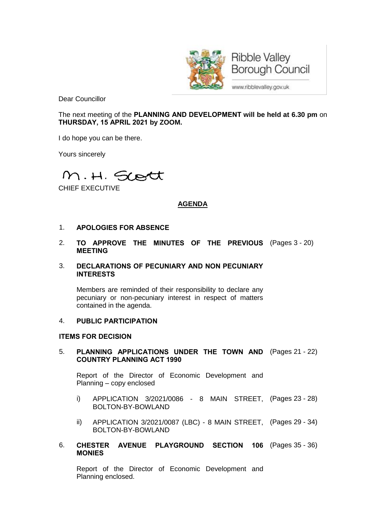

Dear Councillor

The next meeting of the **PLANNING AND DEVELOPMENT will be held at 6.30 pm** on **THURSDAY, 15 APRIL 2021 by ZOOM.**

I do hope you can be there.

Yours sincerely

M.H. Scott

CHIEF EXECUTIVE

# **AGENDA**

## 1. **APOLOGIES FOR ABSENCE**

2. **TO APPROVE THE MINUTES OF THE PREVIOUS** (Pages 3 - 20) **MEETING**

#### 3. **DECLARATIONS OF PECUNIARY AND NON PECUNIARY INTERESTS**

Members are reminded of their responsibility to declare any pecuniary or non-pecuniary interest in respect of matters contained in the agenda.

### 4. **PUBLIC PARTICIPATION**

#### **ITEMS FOR DECISION**

#### 5. **PLANNING APPLICATIONS UNDER THE TOWN AND** (Pages 21 - 22) **COUNTRY PLANNING ACT 1990**

Report of the Director of Economic Development and Planning – copy enclosed

- i) APPLICATION 3/2021/0086 8 MAIN STREET, (Pages 23 28) BOLTON-BY-BOWLAND
- ii) APPLICATION 3/2021/0087 (LBC) 8 MAIN STREET, (Pages 29 34) BOLTON-BY-BOWLAND
- 6. **CHESTER AVENUE PLAYGROUND SECTION 106** (Pages 35 36) **MONIES**

Report of the Director of Economic Development and Planning enclosed.